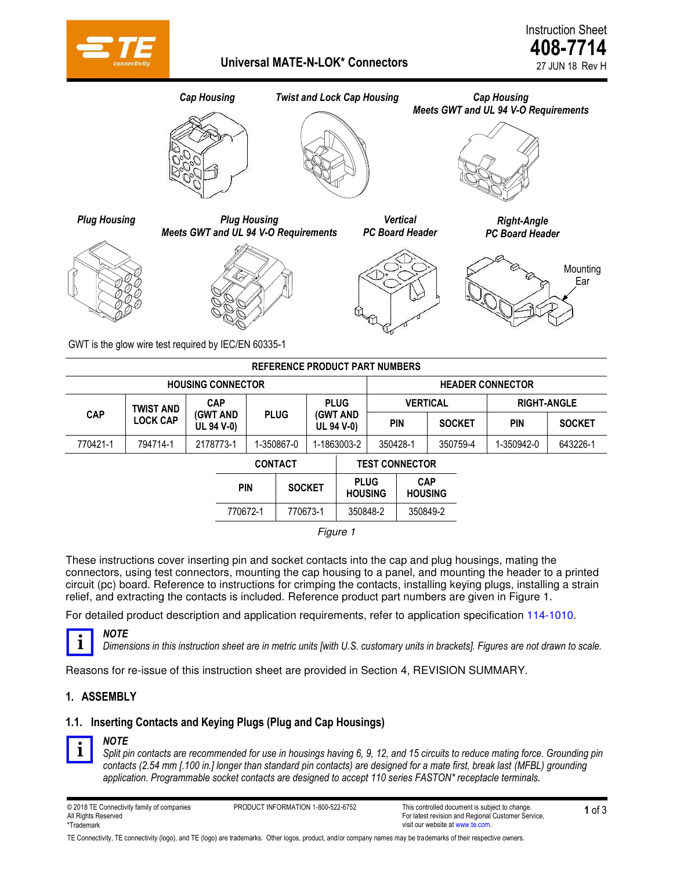

Instruction Sheet **408-7714** 27 JUN 18 Rev H



GWT is the glow wire test required by IEC/EN 60335-1

| <b>REFERENCE PRODUCT PART NUMBERS</b> |                  |                               |            |             |               |                       |                               |                         |                              |               |                    |               |
|---------------------------------------|------------------|-------------------------------|------------|-------------|---------------|-----------------------|-------------------------------|-------------------------|------------------------------|---------------|--------------------|---------------|
| <b>HOUSING CONNECTOR</b>              |                  |                               |            |             |               |                       |                               | <b>HEADER CONNECTOR</b> |                              |               |                    |               |
|                                       | <b>TWIST AND</b> | <b>CAP</b>                    |            |             |               | <b>PLUG</b>           |                               | <b>VERTICAL</b>         |                              |               | <b>RIGHT-ANGLE</b> |               |
| <b>CAP</b>                            | <b>LOCK CAP</b>  | <b>(GWT AND</b><br>UL 94 V-0) |            | <b>PLUG</b> |               |                       | (GWT AND<br><b>UL 94 V-0)</b> |                         | <b>PIN</b>                   | <b>SOCKET</b> | PIN                | <b>SOCKET</b> |
| 770421-1                              | 794714-1         | 2178773-1                     |            | 1-350867-0  |               | 1-1863003-2           |                               | 350428-1                |                              | 350759-4      | 1-350942-0         | 643226-1      |
|                                       | <b>CONTACT</b>   |                               |            |             |               | <b>TEST CONNECTOR</b> |                               |                         |                              |               |                    |               |
|                                       |                  |                               | <b>PIN</b> |             | <b>SOCKET</b> |                       | <b>PLUG</b><br><b>HOUSING</b> |                         | <b>CAP</b><br><b>HOUSING</b> |               |                    |               |
|                                       |                  |                               | 770672-1   |             | 770673-1      |                       | 350848-2                      |                         | 350849-2                     |               |                    |               |
| Figure 1                              |                  |                               |            |             |               |                       |                               |                         |                              |               |                    |               |

These instructions cover inserting pin and socket contacts into the cap and plug housings, mating the connectors, using test connectors, mounting the cap housing to a panel, and mounting the header to a printed circuit (pc) board. Reference to instructions for crimping the contacts, installing keying plugs, installing a strain relief, and extracting the contacts is included. Reference product part numbers are given in Figure 1.

For detailed product description and application requirements, refer to application specification [114-1010.](http://www.te.com/commerce/DocumentDelivery/DDEController?Action=srchrtrv&DocNm=114-1010&DocType=SS)



*Dimensions in this instruction sheet are in metric units [with U.S. customary units in brackets]. Figures are not drawn to scale.* 

Reasons for re-issue of this instruction sheet are provided in Section [4,](#page-2-0) REVISION SUMMARY.

#### **1. ASSEMBLY**

#### **1.1. Inserting Contacts and Keying Plugs (Plug and Cap Housings)**



#### *NOTE*

*NOTE* 

*Split pin contacts are recommended for use in housings having 6, 9, 12, and 15 circuits to reduce mating force. Grounding pin contacts (2.54 mm [.100 in.] longer than standard pin contacts) are designed for a mate first, break last (MFBL) grounding application. Programmable socket contacts are designed to accept 110 series FASTON\* receptacle terminals.* 

@ 2018 TE Connectivity family of companies **1** of 3 **PRODUCT INFORMATION 1-800-522-6752** This controlled document is subject to change. All Rights Reserved \*Trademark

TE Connectivity, TE connectivity (logo), and TE (logo) are trademarks. Other logos, product, and/or company names may be trademarks of their respective owners.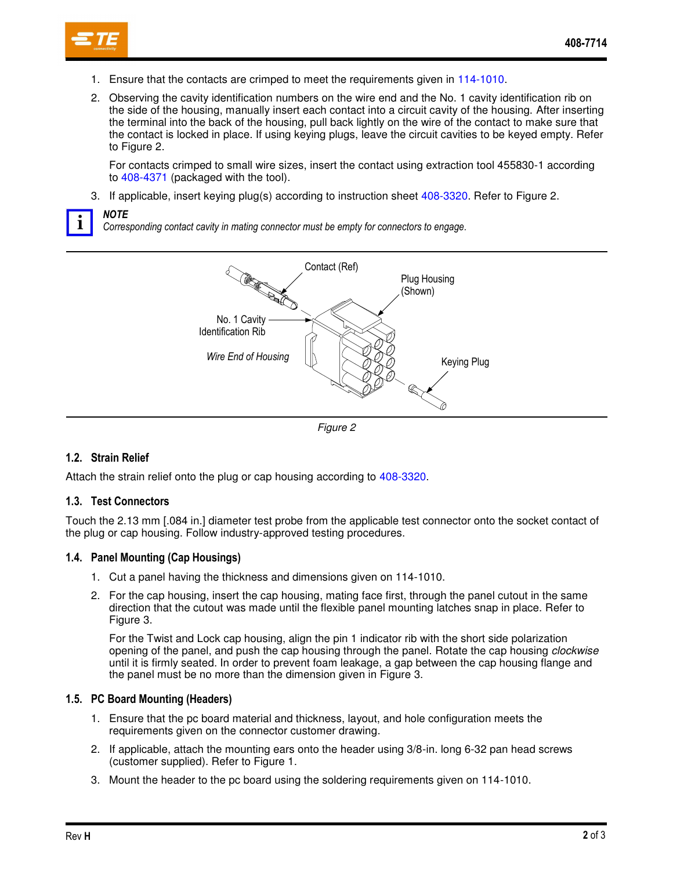- 1. Ensure that the contacts are crimped to meet the requirements given in [114-1010.](http://www.te.com/commerce/DocumentDelivery/DDEController?Action=srchrtrv&DocNm=114-1010&DocType=SS)
- <span id="page-1-1"></span>2. Observing the cavity identification numbers on the wire end and the No. 1 cavity identification rib on the side of the housing, manually insert each contact into a circuit cavity of the housing. After inserting the terminal into the back of the housing, pull back lightly on the wire of the contact to make sure that the contact is locked in place. If using keying plugs, leave the circuit cavities to be keyed empty. Refer to [Figure 2.](#page-1-0)

For contacts crimped to small wire sizes, insert the contact using extraction tool 455830-1 according to [408-4371](http://www.te.com/commerce/DocumentDelivery/DDEController?Action=srchrtrv&DocNm=408-4371&DocType=SS) (packaged with the tool).

3. If applicable, insert keying plug(s) according to instruction sheet [408-3320.](http://www.te.com/commerce/DocumentDelivery/DDEController?Action=srchrtrv&DocNm=408-3320&DocType=SS) Refer to [Figure 2.](#page-1-0)



*NOTE* 

*Corresponding contact cavity in mating connector must be empty for connectors to engage.* 



<span id="page-1-0"></span>*Figure 2* 

# **1.2. Strain Relief**

Attach the strain relief onto the plug or cap housing according to [408-3320.](http://www.te.com/commerce/DocumentDelivery/DDEController?Action=srchrtrv&DocNm=408-3320&DocType=SS)

## **1.3. Test Connectors**

Touch the 2.13 mm [.084 in.] diameter test probe from the applicable test connector onto the socket contact of the plug or cap housing. Follow industry-approved testing procedures.

#### **1.4. Panel Mounting (Cap Housings)**

- 1. Cut a panel having the thickness and dimensions given on 114-1010.
- 2. For the cap housing, insert the cap housing, mating face first, through the panel cutout in the same direction that the cutout was made until the flexible panel mounting latches snap in place. Refer to [Figure 3.](#page-2-1)

For the Twist and Lock cap housing, align the pin 1 indicator rib with the short side polarization opening of the panel, and push the cap housing through the panel. Rotate the cap housing *clockwise* until it is firmly seated. In order to prevent foam leakage, a gap between the cap housing flange and the panel must be no more than the dimension given in [Figure 3.](#page-2-1)

#### **1.5. PC Board Mounting (Headers)**

- 1. Ensure that the pc board material and thickness, layout, and hole configuration meets the requirements given on the connector customer drawing.
- 2. If applicable, attach the mounting ears onto the header using 3/8-in. long 6-32 pan head screws (customer supplied). Refer to Figure 1.
- 3. Mount the header to the pc board using the soldering requirements given on 114-1010.